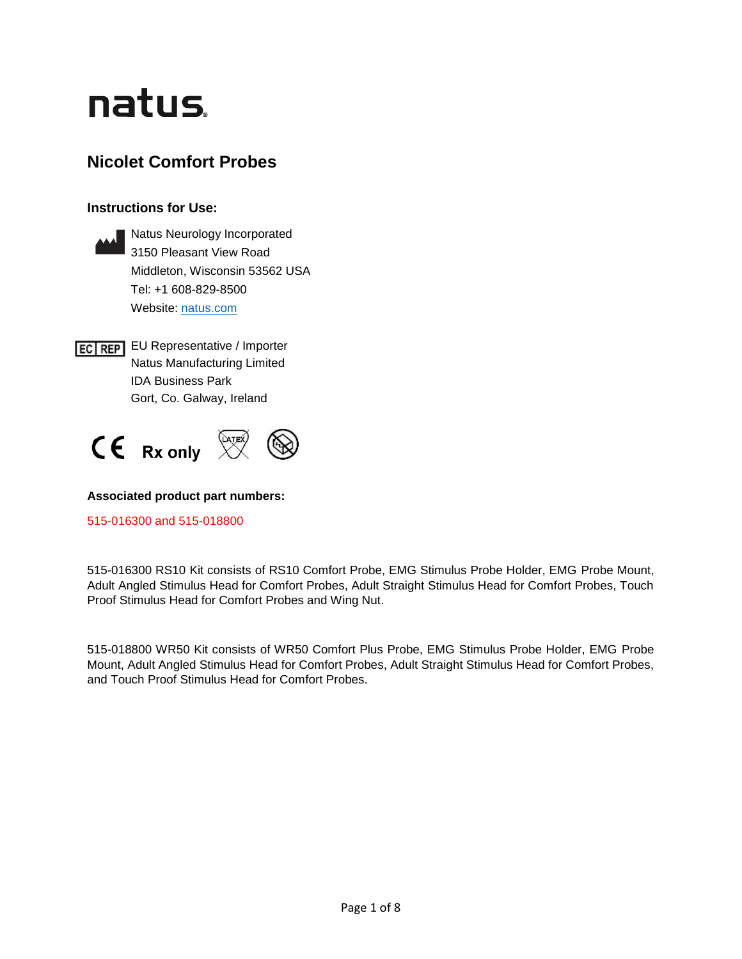# natus.

# **Nicolet Comfort Probes**

## **Instructions for Use:**



**EC REP** EU Representative / Importer Natus Manufacturing Limited IDA Business Park Gort, Co. Galway, Ireland



## **Associated product part numbers:**

515-016300 and 515-018800

515-016300 RS10 Kit consists of RS10 Comfort Probe, EMG Stimulus Probe Holder, EMG Probe Mount, Adult Angled Stimulus Head for Comfort Probes, Adult Straight Stimulus Head for Comfort Probes, Touch Proof Stimulus Head for Comfort Probes and Wing Nut.

515-018800 WR50 Kit consists of WR50 Comfort Plus Probe, EMG Stimulus Probe Holder, EMG Probe Mount, Adult Angled Stimulus Head for Comfort Probes, Adult Straight Stimulus Head for Comfort Probes, and Touch Proof Stimulus Head for Comfort Probes.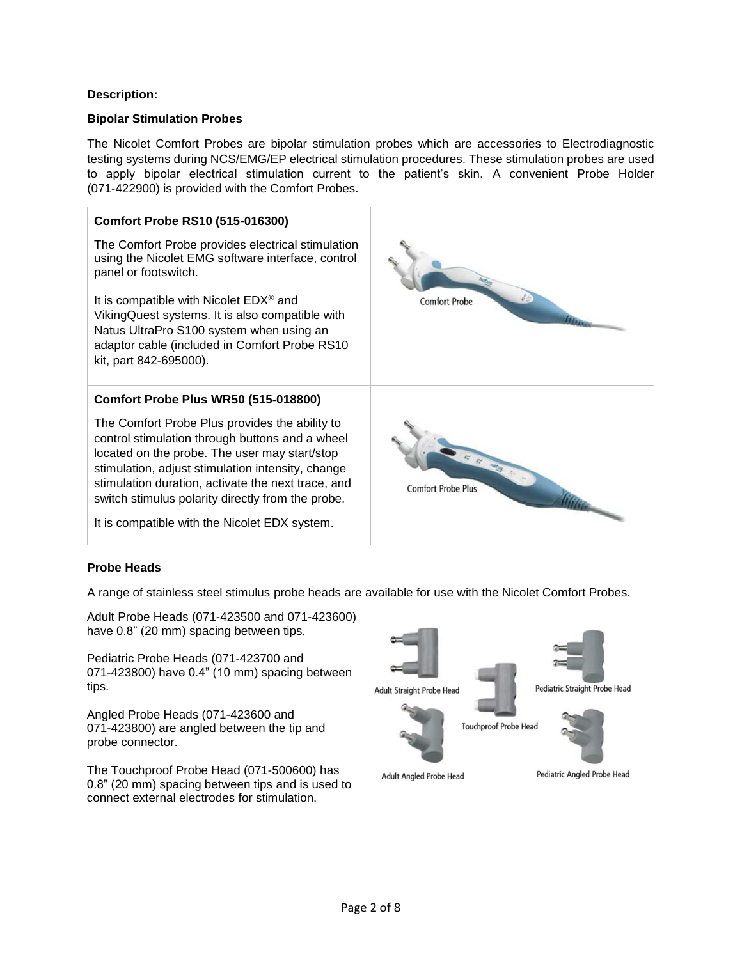#### **Description:**

#### **Bipolar Stimulation Probes**

The Nicolet Comfort Probes are bipolar stimulation probes which are accessories to Electrodiagnostic testing systems during NCS/EMG/EP electrical stimulation procedures. These stimulation probes are used to apply bipolar electrical stimulation current to the patient's skin. A convenient Probe Holder (071-422900) is provided with the Comfort Probes.



## **Probe Heads**

A range of stainless steel stimulus probe heads are available for use with the Nicolet Comfort Probes.

Adult Probe Heads (071-423500 and 071-423600) have 0.8" (20 mm) spacing between tips.

Pediatric Probe Heads (071-423700 and 071-423800) have 0.4" (10 mm) spacing between tips.

Angled Probe Heads (071-423600 and 071-423800) are angled between the tip and probe connector.

The Touchproof Probe Head (071-500600) has 0.8" (20 mm) spacing between tips and is used to connect external electrodes for stimulation.

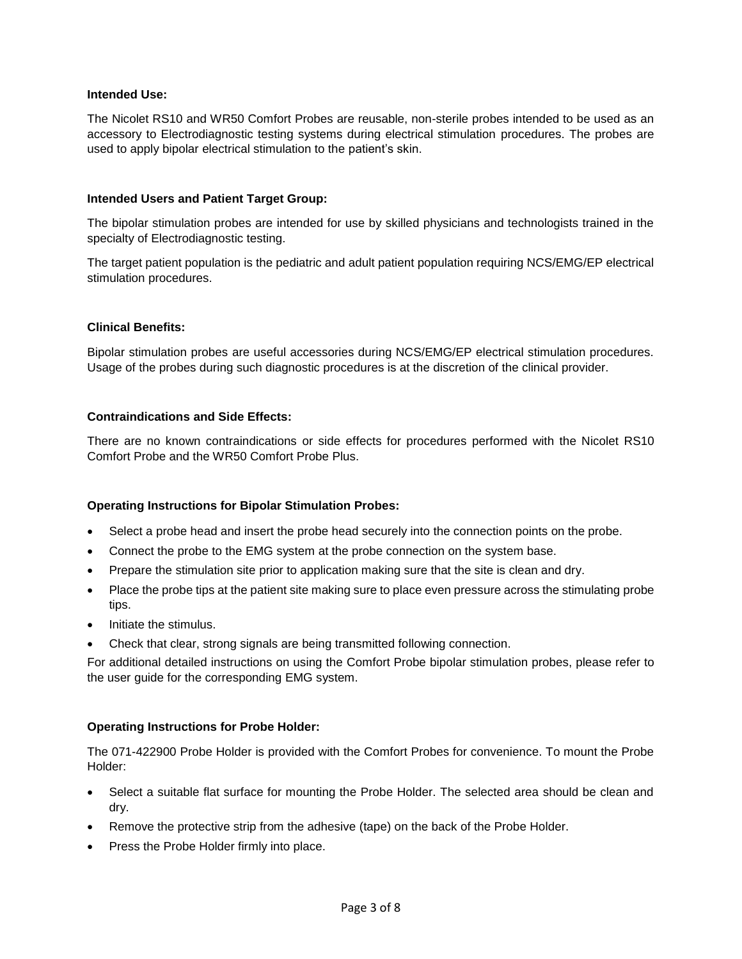#### **Intended Use:**

The Nicolet RS10 and WR50 Comfort Probes are reusable, non-sterile probes intended to be used as an accessory to Electrodiagnostic testing systems during electrical stimulation procedures. The probes are used to apply bipolar electrical stimulation to the patient's skin.

#### **Intended Users and Patient Target Group:**

The bipolar stimulation probes are intended for use by skilled physicians and technologists trained in the specialty of Electrodiagnostic testing.

The target patient population is the pediatric and adult patient population requiring NCS/EMG/EP electrical stimulation procedures.

#### **Clinical Benefits:**

Bipolar stimulation probes are useful accessories during NCS/EMG/EP electrical stimulation procedures. Usage of the probes during such diagnostic procedures is at the discretion of the clinical provider.

#### **Contraindications and Side Effects:**

There are no known contraindications or side effects for procedures performed with the Nicolet RS10 Comfort Probe and the WR50 Comfort Probe Plus.

#### **Operating Instructions for Bipolar Stimulation Probes:**

- Select a probe head and insert the probe head securely into the connection points on the probe.
- Connect the probe to the EMG system at the probe connection on the system base.
- Prepare the stimulation site prior to application making sure that the site is clean and dry.
- Place the probe tips at the patient site making sure to place even pressure across the stimulating probe tips.
- Initiate the stimulus.
- Check that clear, strong signals are being transmitted following connection.

For additional detailed instructions on using the Comfort Probe bipolar stimulation probes, please refer to the user guide for the corresponding EMG system.

#### **Operating Instructions for Probe Holder:**

The 071-422900 Probe Holder is provided with the Comfort Probes for convenience. To mount the Probe Holder:

- Select a suitable flat surface for mounting the Probe Holder. The selected area should be clean and dry.
- Remove the protective strip from the adhesive (tape) on the back of the Probe Holder.
- Press the Probe Holder firmly into place.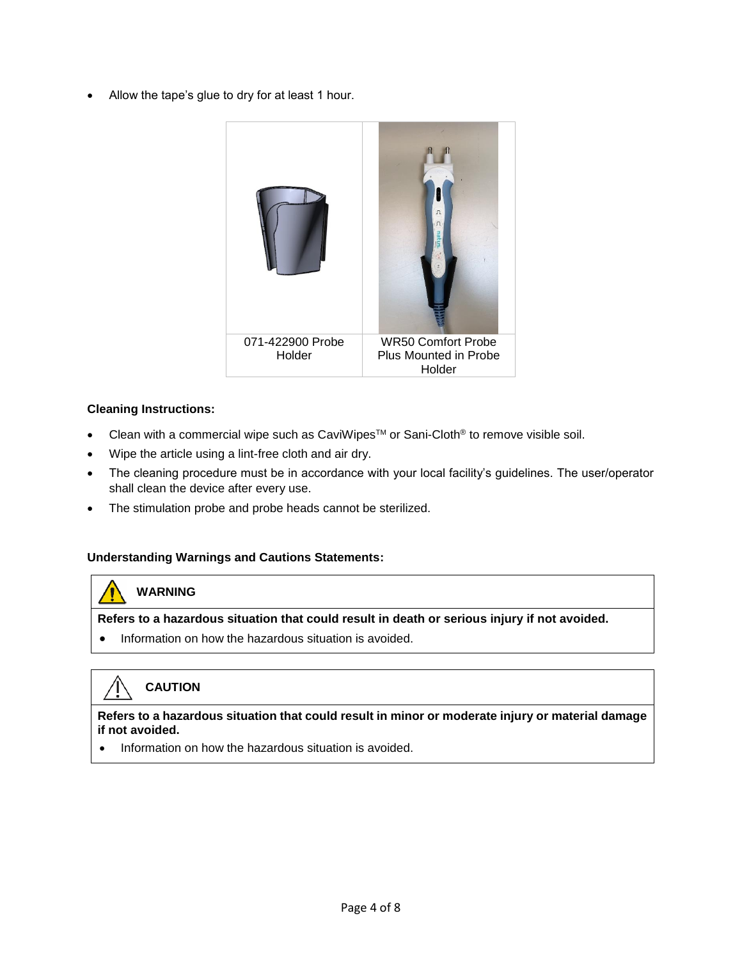• Allow the tape's glue to dry for at least 1 hour.



#### **Cleaning Instructions:**

- Clean with a commercial wipe such as CaviWipes<sup>TM</sup> or Sani-Cloth<sup>®</sup> to remove visible soil.
- Wipe the article using a lint-free cloth and air dry.
- The cleaning procedure must be in accordance with your local facility's guidelines. The user/operator shall clean the device after every use.
- The stimulation probe and probe heads cannot be sterilized.

#### **Understanding Warnings and Cautions Statements:**

#### **WARNING**

**Refers to a hazardous situation that could result in death or serious injury if not avoided.** 

• Information on how the hazardous situation is avoided.

# **CAUTION**

#### **Refers to a hazardous situation that could result in minor or moderate injury or material damage if not avoided.**

• Information on how the hazardous situation is avoided.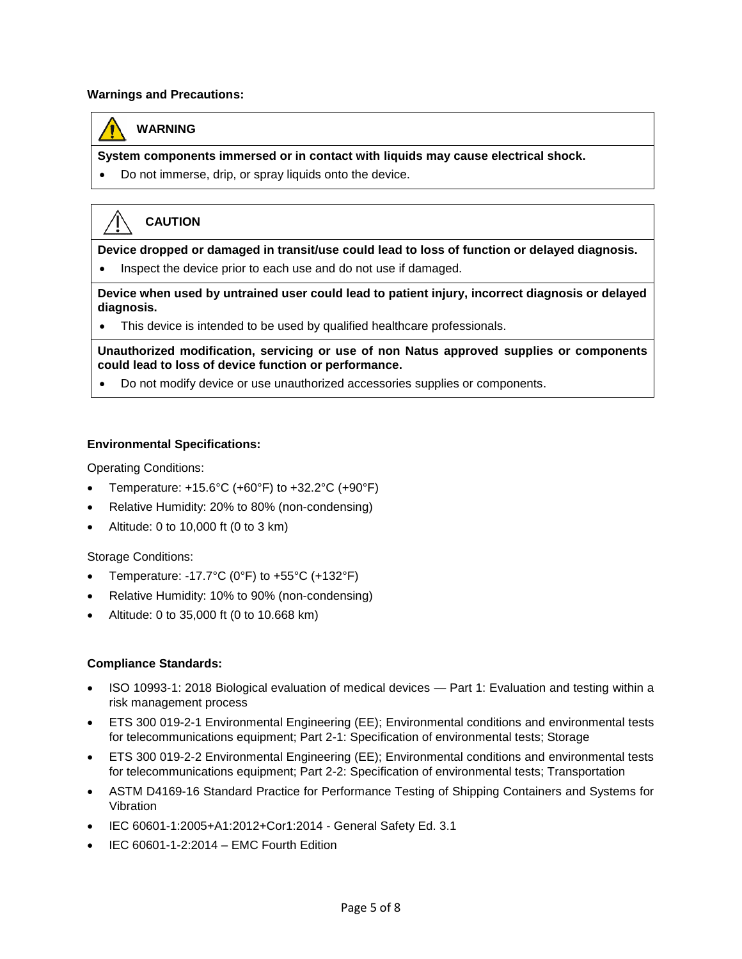#### **Warnings and Precautions:**



## **WARNING**

**System components immersed or in contact with liquids may cause electrical shock.**

• Do not immerse, drip, or spray liquids onto the device.

# **CAUTION**

**Device dropped or damaged in transit/use could lead to loss of function or delayed diagnosis.**

• Inspect the device prior to each use and do not use if damaged.

**Device when used by untrained user could lead to patient injury, incorrect diagnosis or delayed diagnosis.**

• This device is intended to be used by qualified healthcare professionals.

**Unauthorized modification, servicing or use of non Natus approved supplies or components could lead to loss of device function or performance.**

• Do not modify device or use unauthorized accessories supplies or components.

#### **Environmental Specifications:**

Operating Conditions:

- Temperature:  $+15.6^{\circ}$ C ( $+60^{\circ}$ F) to  $+32.2^{\circ}$ C ( $+90^{\circ}$ F)
- Relative Humidity: 20% to 80% (non-condensing)
- Altitude: 0 to 10,000 ft (0 to 3 km)

Storage Conditions:

- Temperature: -17.7 $^{\circ}$ C (0 $^{\circ}$ F) to +55 $^{\circ}$ C (+132 $^{\circ}$ F)
- Relative Humidity: 10% to 90% (non-condensing)
- Altitude: 0 to 35,000 ft (0 to 10.668 km)

#### **Compliance Standards:**

- ISO 10993-1: 2018 Biological evaluation of medical devices Part 1: Evaluation and testing within a risk management process
- ETS 300 019-2-1 Environmental Engineering (EE); Environmental conditions and environmental tests for telecommunications equipment; Part 2-1: Specification of environmental tests; Storage
- ETS 300 019-2-2 Environmental Engineering (EE); Environmental conditions and environmental tests for telecommunications equipment; Part 2-2: Specification of environmental tests; Transportation
- ASTM D4169-16 Standard Practice for Performance Testing of Shipping Containers and Systems for Vibration
- IEC 60601-1:2005+A1:2012+Cor1:2014 General Safety Ed. 3.1
- IEC 60601-1-2:2014 EMC Fourth Edition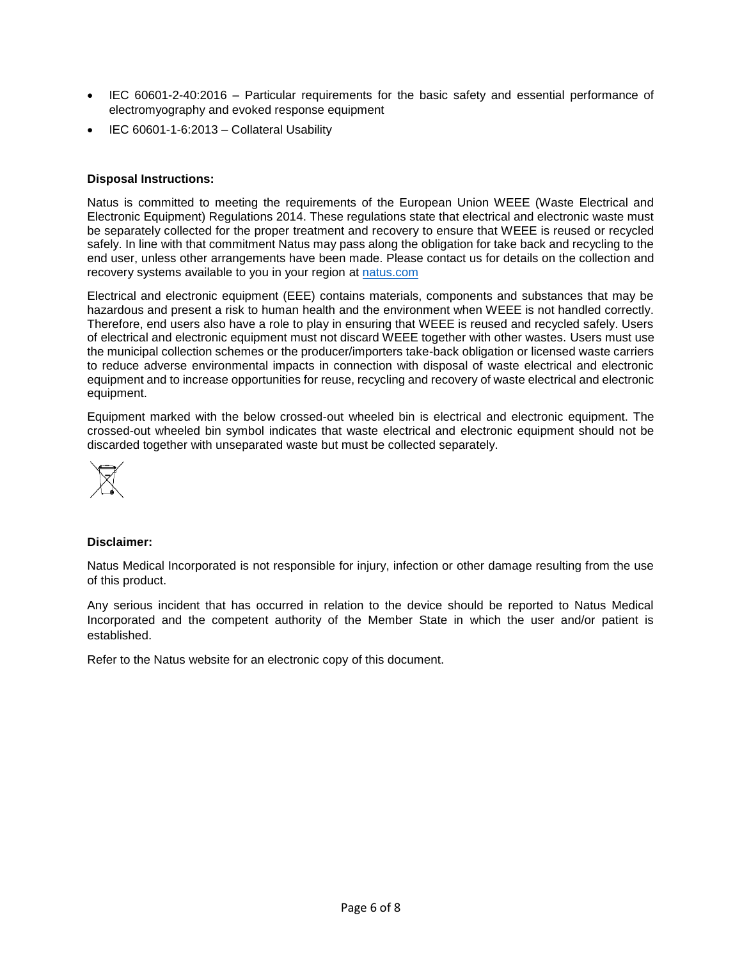- IEC 60601-2-40:2016 Particular requirements for the basic safety and essential performance of electromyography and evoked response equipment
- IEC 60601-1-6:2013 Collateral Usability

#### **Disposal Instructions:**

Natus is committed to meeting the requirements of the European Union WEEE (Waste Electrical and Electronic Equipment) Regulations 2014. These regulations state that electrical and electronic waste must be separately collected for the proper treatment and recovery to ensure that WEEE is reused or recycled safely. In line with that commitment Natus may pass along the obligation for take back and recycling to the end user, unless other arrangements have been made. Please contact us for details on the collection and recovery systems available to you in your region at [natus.com](https://natus.com/)

Electrical and electronic equipment (EEE) contains materials, components and substances that may be hazardous and present a risk to human health and the environment when WEEE is not handled correctly. Therefore, end users also have a role to play in ensuring that WEEE is reused and recycled safely. Users of electrical and electronic equipment must not discard WEEE together with other wastes. Users must use the municipal collection schemes or the producer/importers take-back obligation or licensed waste carriers to reduce adverse environmental impacts in connection with disposal of waste electrical and electronic equipment and to increase opportunities for reuse, recycling and recovery of waste electrical and electronic equipment.

Equipment marked with the below crossed-out wheeled bin is electrical and electronic equipment. The crossed-out wheeled bin symbol indicates that waste electrical and electronic equipment should not be discarded together with unseparated waste but must be collected separately.



#### **Disclaimer:**

Natus Medical Incorporated is not responsible for injury, infection or other damage resulting from the use of this product.

Any serious incident that has occurred in relation to the device should be reported to Natus Medical Incorporated and the competent authority of the Member State in which the user and/or patient is established.

Refer to the Natus website for an electronic copy of this document.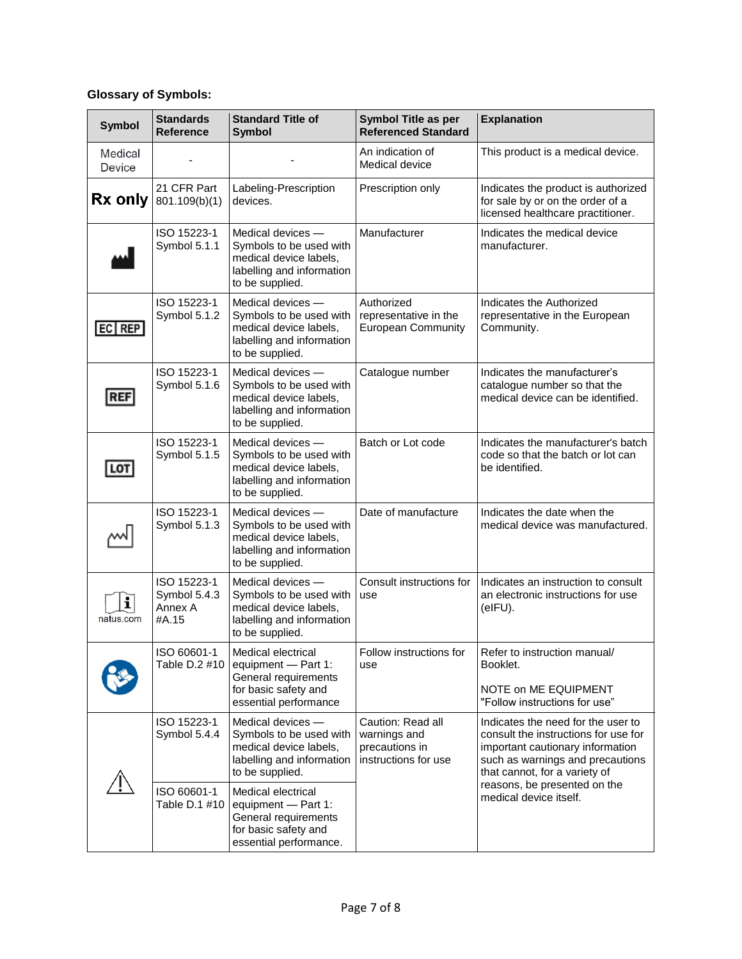# **Glossary of Symbols:**

| <b>Symbol</b>                   | <b>Standards</b><br><b>Reference</b>            | <b>Standard Title of</b><br><b>Symbol</b>                                                                              | <b>Symbol Title as per</b><br><b>Referenced Standard</b>                    | <b>Explanation</b>                                                                                                                                                                                                                            |
|---------------------------------|-------------------------------------------------|------------------------------------------------------------------------------------------------------------------------|-----------------------------------------------------------------------------|-----------------------------------------------------------------------------------------------------------------------------------------------------------------------------------------------------------------------------------------------|
| <b>Medical</b><br><b>Device</b> |                                                 |                                                                                                                        | An indication of<br>Medical device                                          | This product is a medical device.                                                                                                                                                                                                             |
| Rx only                         | 21 CFR Part<br>801.109(b)(1)                    | Labeling-Prescription<br>devices.                                                                                      | Prescription only                                                           | Indicates the product is authorized<br>for sale by or on the order of a<br>licensed healthcare practitioner.                                                                                                                                  |
|                                 | ISO 15223-1<br>Symbol 5.1.1                     | Medical devices -<br>Symbols to be used with<br>medical device labels,<br>labelling and information<br>to be supplied. | Manufacturer                                                                | Indicates the medical device<br>manufacturer.                                                                                                                                                                                                 |
| EC REP                          | ISO 15223-1<br>Symbol 5.1.2                     | Medical devices -<br>Symbols to be used with<br>medical device labels,<br>labelling and information<br>to be supplied. | Authorized<br>representative in the<br><b>European Community</b>            | Indicates the Authorized<br>representative in the European<br>Community.                                                                                                                                                                      |
| <b>REF</b>                      | ISO 15223-1<br>Symbol 5.1.6                     | Medical devices -<br>Symbols to be used with<br>medical device labels,<br>labelling and information<br>to be supplied. | Catalogue number                                                            | Indicates the manufacturer's<br>catalogue number so that the<br>medical device can be identified.                                                                                                                                             |
| LOT                             | ISO 15223-1<br>Symbol 5.1.5                     | Medical devices -<br>Symbols to be used with<br>medical device labels,<br>labelling and information<br>to be supplied. | Batch or Lot code                                                           | Indicates the manufacturer's batch<br>code so that the batch or lot can<br>be identified.                                                                                                                                                     |
|                                 | ISO 15223-1<br>Symbol 5.1.3                     | Medical devices -<br>Symbols to be used with<br>medical device labels,<br>labelling and information<br>to be supplied. | Date of manufacture                                                         | Indicates the date when the<br>medical device was manufactured.                                                                                                                                                                               |
| i<br>natus.com                  | ISO 15223-1<br>Symbol 5.4.3<br>Annex A<br>#A.15 | Medical devices -<br>Symbols to be used with<br>medical device labels,<br>labelling and information<br>to be supplied. | Consult instructions for<br>use                                             | Indicates an instruction to consult<br>an electronic instructions for use<br>(eIFU).                                                                                                                                                          |
|                                 | ISO 60601-1<br>Table D.2 #10                    | Medical electrical<br>equipment - Part 1:<br>General requirements<br>for basic safety and<br>essential performance     | Follow instructions for<br>use                                              | Refer to instruction manual/<br>Booklet.<br>NOTE on ME EQUIPMENT<br>"Follow instructions for use"                                                                                                                                             |
|                                 | ISO 15223-1<br>Symbol 5.4.4                     | Medical devices -<br>Symbols to be used with<br>medical device labels,<br>labelling and information<br>to be supplied. | Caution: Read all<br>warnings and<br>precautions in<br>instructions for use | Indicates the need for the user to<br>consult the instructions for use for<br>important cautionary information<br>such as warnings and precautions<br>that cannot, for a variety of<br>reasons, be presented on the<br>medical device itself. |
|                                 | ISO 60601-1<br>Table D.1 #10                    | Medical electrical<br>equipment - Part 1:<br>General requirements<br>for basic safety and<br>essential performance.    |                                                                             |                                                                                                                                                                                                                                               |